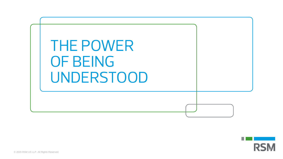

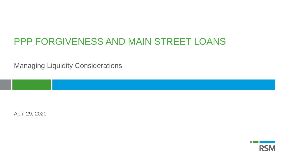# PPP FORGIVENESS AND MAIN STREET LOANS

Managing Liquidity Considerations

April 29, 2020

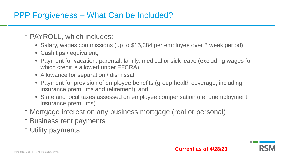## PPP Forgiveness – What Can be Included?

- PAYROLL, which includes:
	- Salary, wages commissions (up to \$15,384 per employee over 8 week period);
	- Cash tips / equivalent;
	- Payment for vacation, parental, family, medical or sick leave (excluding wages for which credit is allowed under FFCRA);
	- Allowance for separation / dismissal;
	- Payment for provision of employee benefits (group health coverage, including insurance premiums and retirement); and
	- State and local taxes assessed on employee compensation (i.e. unemployment insurance premiums).
- ⁻ Mortgage interest on any business mortgage (real or personal)
- Business rent payments
- ⁻ Utility payments

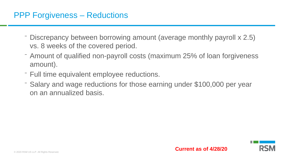- ⁻ Discrepancy between borrowing amount (average monthly payroll x 2.5) vs. 8 weeks of the covered period.
- ⁻ Amount of qualified non-payroll costs (maximum 25% of loan forgiveness amount).
- ⁻ Full time equivalent employee reductions.
- ⁻ Salary and wage reductions for those earning under \$100,000 per year on an annualized basis.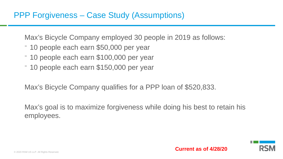Max's Bicycle Company employed 30 people in 2019 as follows:

- ⁻ 10 people each earn \$50,000 per year
- ⁻ 10 people each earn \$100,000 per year
- ⁻ 10 people each earn \$150,000 per year

Max's Bicycle Company qualifies for a PPP loan of \$520,833.

Max's goal is to maximize forgiveness while doing his best to retain his employees.

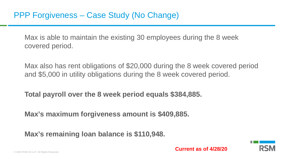Max is able to maintain the existing 30 employees during the 8 week covered period.

Max also has rent obligations of \$20,000 during the 8 week covered period and \$5,000 in utility obligations during the 8 week covered period.

**Total payroll over the 8 week period equals \$384,885.** 

**Max's maximum forgiveness amount is \$409,885.**

**Max's remaining loan balance is \$110,948.**

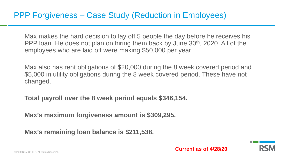Max makes the hard decision to lay off 5 people the day before he receives his PPP loan. He does not plan on hiring them back by June 30<sup>th</sup>, 2020. All of the employees who are laid off were making \$50,000 per year.

Max also has rent obligations of \$20,000 during the 8 week covered period and \$5,000 in utility obligations during the 8 week covered period. These have not changed.

**Total payroll over the 8 week period equals \$346,154.** 

**Max's maximum forgiveness amount is \$309,295.**

**Max's remaining loan balance is \$211,538.**

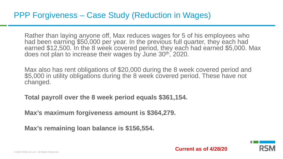Rather than laying anyone off, Max reduces wages for 5 of his employees who had been earning \$50,000 per year. In the previous full quarter, they each had earned \$12,500. In the 8 week covered period, they each had earned \$5,000. Max does not plan to increase their wages by June 30th, 2020.

Max also has rent obligations of \$20,000 during the 8 week covered period and \$5,000 in utility obligations during the 8 week covered period. These have not changed.

**Total payroll over the 8 week period equals \$361,154.** 

**Max's maximum forgiveness amount is \$364,279.**

**Max's remaining loan balance is \$156,554.**

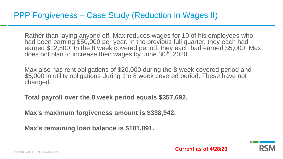Rather than laying anyone off, Max reduces wages for 10 of his employees who had been earning \$50,000 per year. In the previous full quarter, they each had earned \$12,500. In the 8 week covered period, they each had earned \$5,000. Max does not plan to increase their wages by June 30th, 2020.

Max also has rent obligations of \$20,000 during the 8 week covered period and \$5,000 in utility obligations during the 8 week covered period. These have not changed.

**Total payroll over the 8 week period equals \$357,692.** 

**Max's maximum forgiveness amount is \$338,942.**

**Max's remaining loan balance is \$181,891.**

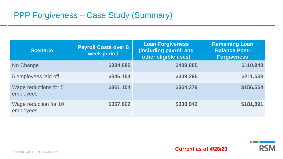| <b>Scenario</b>                    | <b>Payroll Costs over 8</b><br>week period | <b>Loan Forgiveness</b><br>(including payroll and<br>other eligible uses) | <b>Remaining Loan</b><br><b>Balance Post-</b><br><b>Forgiveness</b> |
|------------------------------------|--------------------------------------------|---------------------------------------------------------------------------|---------------------------------------------------------------------|
| No Change                          | \$384,885                                  | \$409,885                                                                 | \$110,948                                                           |
| 5 employees laid off               | \$346,154                                  | \$309,295                                                                 | \$211,538                                                           |
| Wage reductions for 5<br>employees | \$361,154                                  | \$364,279                                                                 | \$156,554                                                           |
| Wage reduction for 10<br>employees | \$357,692                                  | \$338,942                                                                 | \$181,891                                                           |

.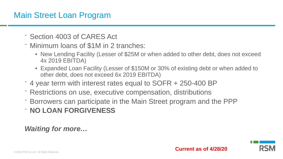## Main Street Loan Program

- ⁻ Section 4003 of CARES Act
- ⁻ Minimum loans of \$1M in 2 tranches:
	- New Lending Facility (Lesser of \$25M or when added to other debt, does not exceed 4x 2019 EBITDA)
	- Expanded Loan Facility (Lesser of \$150M or 30% of existing debt or when added to other debt, does not exceed 6x 2019 EBITDA)
- ⁻ 4 year term with interest rates equal to SOFR + 250-400 BP
- ⁻ Restrictions on use, executive compensation, distributions
- ⁻ Borrowers can participate in the Main Street program and the PPP
- ⁻ **NO LOAN FORGIVENESS**

*Waiting for more…*